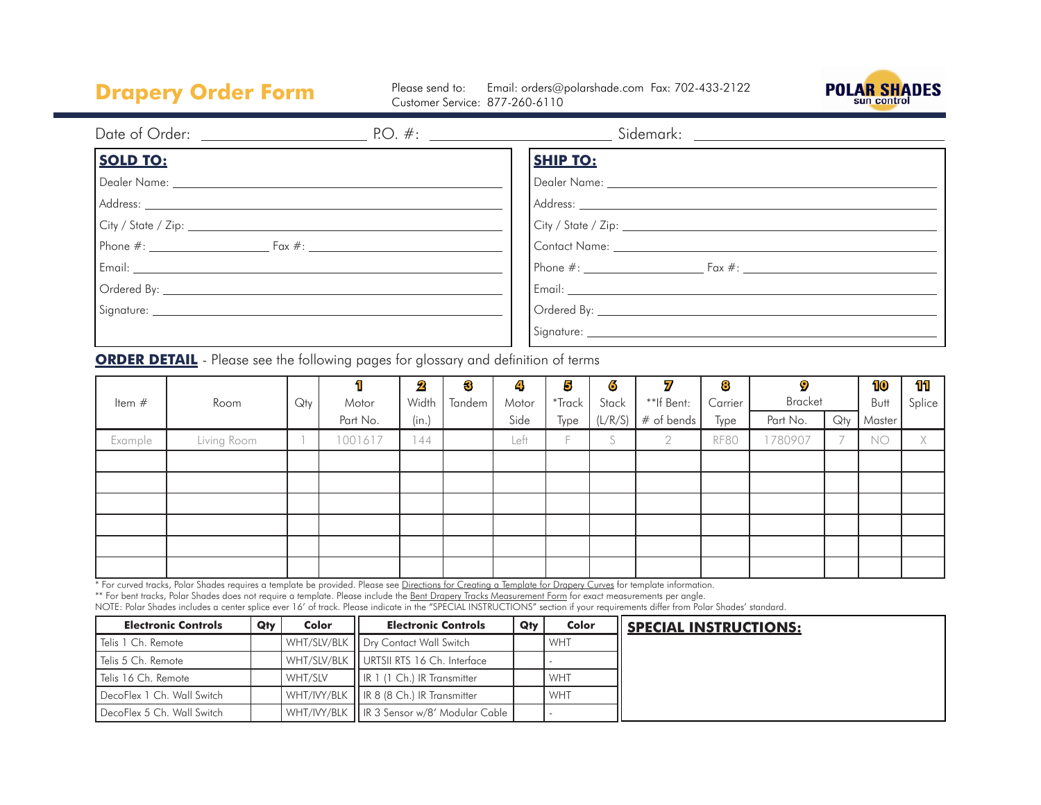# **Drapery Order Form**

Please send to: Customer Service: 877-260-6110Email: orders@polarshade.com Fax: 702-433-2122



| Date of Order: ____________________                                                                                                                                                                                                                                                                                                       | P. O. #: | Sidemark: <u>_______________________</u> |
|-------------------------------------------------------------------------------------------------------------------------------------------------------------------------------------------------------------------------------------------------------------------------------------------------------------------------------------------|----------|------------------------------------------|
| <b>SOLD TO:</b>                                                                                                                                                                                                                                                                                                                           |          | <b>SHIP TO:</b>                          |
|                                                                                                                                                                                                                                                                                                                                           |          |                                          |
|                                                                                                                                                                                                                                                                                                                                           |          |                                          |
|                                                                                                                                                                                                                                                                                                                                           |          |                                          |
| Phone $\#$ : $\qquad \qquad$ $\qquad$ $\qquad$ $\qquad$ $\qquad$ $\qquad$ $\qquad$ $\qquad$ $\qquad$ $\qquad$ $\qquad$ $\qquad$ $\qquad$ $\qquad$ $\qquad$ $\qquad$ $\qquad$ $\qquad$ $\qquad$ $\qquad$ $\qquad$ $\qquad$ $\qquad$ $\qquad$ $\qquad$ $\qquad$ $\qquad$ $\qquad$ $\qquad$ $\qquad$ $\qquad$ $\qquad$ $\qquad$ $\qquad$ $\$ |          |                                          |
|                                                                                                                                                                                                                                                                                                                                           |          |                                          |
|                                                                                                                                                                                                                                                                                                                                           |          |                                          |
|                                                                                                                                                                                                                                                                                                                                           |          |                                          |
|                                                                                                                                                                                                                                                                                                                                           |          |                                          |

**ORDER DETAIL** - Please see the following pages for glossary and defnition of terms

| Item #  | Room        | Qty | 1<br>Motor | $\mathbf 2$<br>Width | 3<br>Tandem | 4<br>Motor | 5<br>$*$ Track | 6<br>Stack | $\overline{\mathbf{z}}$<br>**If Bent: | 8<br>Carrier | 9<br><b>Bracket</b> |     | 10<br><b>Butt</b> | 11<br>Splice |
|---------|-------------|-----|------------|----------------------|-------------|------------|----------------|------------|---------------------------------------|--------------|---------------------|-----|-------------------|--------------|
|         |             |     | Part No.   | (in.)                |             | Side       | Type           | (L/R/S)    | $#$ of bends                          | Type         | Part No.            | Qty | Master            |              |
| Example | Living Room |     | 1001617    | 144                  |             | Left       |                | ◡          | 2                                     | RF80         | 1780907             |     | NO                | Λ            |
|         |             |     |            |                      |             |            |                |            |                                       |              |                     |     |                   |              |
|         |             |     |            |                      |             |            |                |            |                                       |              |                     |     |                   |              |
|         |             |     |            |                      |             |            |                |            |                                       |              |                     |     |                   |              |
|         |             |     |            |                      |             |            |                |            |                                       |              |                     |     |                   |              |
|         |             |     |            |                      |             |            |                |            |                                       |              |                     |     |                   |              |
|         |             |     |            |                      |             |            |                |            |                                       |              |                     |     |                   |              |

\* For curved tracks, Polar Shades requires a template be provided. Please see <u>Directions for Creating a Template for Drapery Curves</u> for template information.

\*\* For bent tracks, Polar Shades does not require a template. Please include the <u>Bent Drapery Tracks Measurement Form</u> for exact measurements per angle.

NOTE: Polar Shades includes a center splice ever 16' of track. Please indicate in the "SPECIAL INSTRUCTIONS" section if your requirements differ from Polar Shades' standard.

| <b>Electronic Controls</b>   | Qty | Color   | <b>Electronic Controls</b>                    | Qty | Color      |
|------------------------------|-----|---------|-----------------------------------------------|-----|------------|
| Telis 1 Ch. Remote           |     |         | WHT/SLV/BLK   Dry Contact Wall Switch         |     | I WHT      |
| Telis 5 Ch. Remote           |     |         | WHT/SLV/BLK    URTSII RTS 16 Ch. Interface    |     |            |
| Telis 16 Ch. Remote          |     | WHT/SLV | II IR 1 (1 Ch.) IR Transmitter                |     | <b>WHT</b> |
| l DecoFlex 1 Ch. Wall Switch |     |         | WHT/IVY/BLK    IR 8 (8 Ch.) IR Transmitter    |     | <b>WHT</b> |
| DecoFlex 5 Ch. Wall Switch   |     |         | WHT/IVY/BLK    IR 3 Sensor w/8' Modular Cable |     |            |